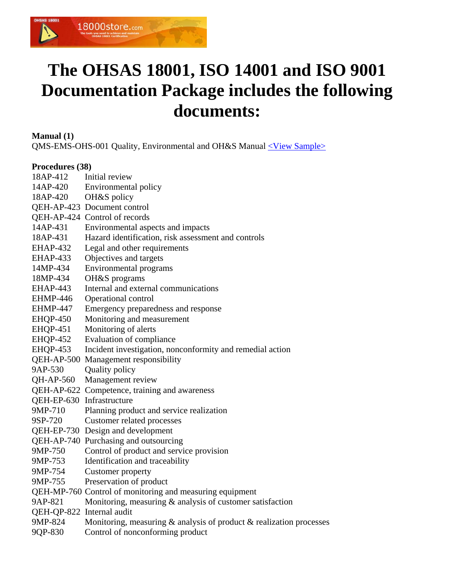

## **The OHSAS 18001, ISO 14001 and ISO 9001 Documentation Package includes the following documents:**

**Manual (1)**

QMS-EMS-OHS-001 Quality, Environmental and OH&S Manual [<View Sample>](http://www.18000store.com/downloads/IMS-Manual-sample.pdf)

#### **Procedures (38)**

| 18AP-412                  | Initial review                                                            |
|---------------------------|---------------------------------------------------------------------------|
| 14AP-420                  | Environmental policy                                                      |
| 18AP-420                  | OH&S policy                                                               |
|                           | QEH-AP-423 Document control                                               |
|                           | QEH-AP-424 Control of records                                             |
| 14AP-431                  | Environmental aspects and impacts                                         |
| 18AP-431                  | Hazard identification, risk assessment and controls                       |
| EHAP-432                  | Legal and other requirements                                              |
| EHAP-433                  | Objectives and targets                                                    |
| 14MP-434                  | <b>Environmental programs</b>                                             |
| 18MP-434                  | OH&S programs                                                             |
| EHAP-443                  | Internal and external communications                                      |
| EHMP-446                  | Operational control                                                       |
| <b>EHMP-447</b>           | Emergency preparedness and response                                       |
| EHQP-450                  | Monitoring and measurement                                                |
| <b>EHQP-451</b>           | Monitoring of alerts                                                      |
| <b>EHQP-452</b>           | <b>Evaluation of compliance</b>                                           |
| EHQP-453                  | Incident investigation, nonconformity and remedial action                 |
|                           | QEH-AP-500 Management responsibility                                      |
| 9AP-530                   | Quality policy                                                            |
| QH-AP-560                 | Management review                                                         |
|                           | QEH-AP-622 Competence, training and awareness                             |
| QEH-EP-630 Infrastructure |                                                                           |
| 9MP-710                   | Planning product and service realization                                  |
| 9SP-720                   | Customer related processes                                                |
|                           | QEH-EP-730 Design and development                                         |
|                           | QEH-AP-740 Purchasing and outsourcing                                     |
| 9MP-750                   | Control of product and service provision                                  |
| 9MP-753                   | Identification and traceability                                           |
| 9MP-754                   | Customer property                                                         |
| 9MP-755                   | Preservation of product                                                   |
|                           | QEH-MP-760 Control of monitoring and measuring equipment                  |
| 9AP-821                   | Monitoring, measuring $\&$ analysis of customer satisfaction              |
| QEH-QP-822 Internal audit |                                                                           |
| 9MP-824                   | Monitoring, measuring $\&$ analysis of product $\&$ realization processes |
| 9QP-830                   | Control of nonconforming product                                          |
|                           |                                                                           |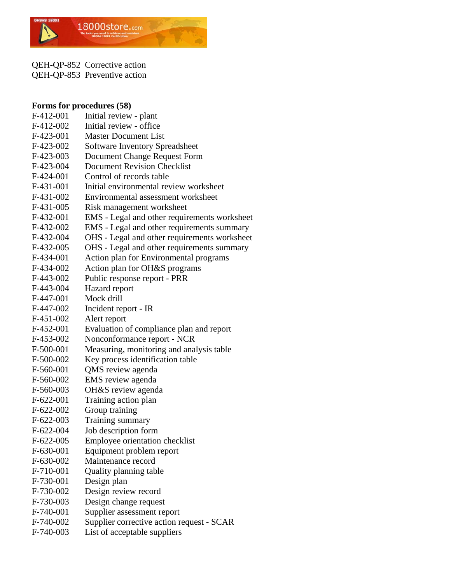

QEH-QP-852 Corrective action QEH-QP-853 Preventive action

#### **Forms for procedures (58)**

| F-412-001   | Initial review - plant                       |
|-------------|----------------------------------------------|
| F-412-002   | Initial review - office                      |
| F-423-001   | <b>Master Document List</b>                  |
| F-423-002   | <b>Software Inventory Spreadsheet</b>        |
| F-423-003   | <b>Document Change Request Form</b>          |
| F-423-004   | <b>Document Revision Checklist</b>           |
| $F-424-001$ | Control of records table                     |
| F-431-001   | Initial environmental review worksheet       |
| $F-431-002$ | Environmental assessment worksheet           |
| F-431-005   | Risk management worksheet                    |
| $F-432-001$ | EMS - Legal and other requirements worksheet |
| F-432-002   | EMS - Legal and other requirements summary   |
| F-432-004   | OHS - Legal and other requirements worksheet |
| F-432-005   | OHS - Legal and other requirements summary   |
| F-434-001   | Action plan for Environmental programs       |
| F-434-002   | Action plan for OH&S programs                |
| F-443-002   | Public response report - PRR                 |
| F-443-004   | Hazard report                                |
| F-447-001   | Mock drill                                   |
| F-447-002   | Incident report - IR                         |
| F-451-002   | Alert report                                 |
| F-452-001   | Evaluation of compliance plan and report     |
| F-453-002   | Nonconformance report - NCR                  |
| F-500-001   | Measuring, monitoring and analysis table     |
| F-500-002   | Key process identification table             |
| F-560-001   | QMS review agenda                            |
| F-560-002   | EMS review agenda                            |
| F-560-003   | OH&S review agenda                           |
| $F-622-001$ | Training action plan                         |
| $F-622-002$ | Group training                               |
| $F-622-003$ | Training summary                             |
| $F-622-004$ | Job description form                         |
| $F-622-005$ | Employee orientation checklist               |
| F-630-001   | Equipment problem report                     |
| F-630-002   | Maintenance record                           |
| F-710-001   | Quality planning table                       |
| F-730-001   | Design plan                                  |
| F-730-002   | Design review record                         |
| F-730-003   | Design change request                        |
| F-740-001   | Supplier assessment report                   |
| F-740-002   | Supplier corrective action request - SCAR    |
| F-740-003   | List of acceptable suppliers                 |
|             |                                              |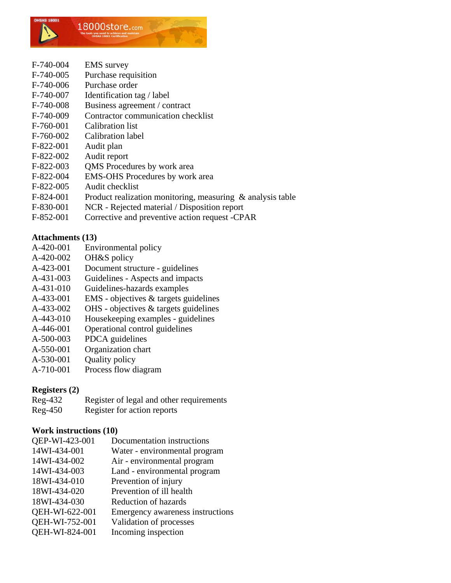

- F-740-004 EMS survey
- F-740-005 Purchase requisition
- F-740-006 Purchase order
- F-740-007 Identification tag / label
- F-740-008 Business agreement / contract
- F-740-009 Contractor communication checklist
- F-760-001 Calibration list
- F-760-002 Calibration label
- F-822-001 Audit plan
- F-822-002 Audit report
- F-822-003 QMS Procedures by work area
- F-822-004 EMS-OHS Procedures by work area
- F-822-005 Audit checklist
- F-824-001 Product realization monitoring, measuring & analysis table
- F-830-001 NCR Rejected material / Disposition report
- F-852-001 Corrective and preventive action request -CPAR

#### **Attachments (13)**

- A-420-001 Environmental policy
- A-420-002 OH&S policy
- A-423-001 Document structure guidelines
- A-431-003 Guidelines Aspects and impacts
- A-431-010 Guidelines-hazards examples
- A-433-001 EMS objectives & targets guidelines
- A-433-002 OHS objectives & targets guidelines
- A-443-010 Housekeeping examples guidelines
- A-446-001 Operational control guidelines
- A-500-003 PDCA guidelines
- A-550-001 Organization chart
- A-530-001 Quality policy
- A-710-001 Process flow diagram

#### **Registers (2)**

Reg-432 Register of legal and other requirements Reg-450 Register for action reports

#### **Work instructions (10)**

| QEP-WI-423-001 | Documentation instructions       |
|----------------|----------------------------------|
| 14WI-434-001   | Water - environmental program    |
| 14WI-434-002   | Air - environmental program      |
| 14WI-434-003   | Land - environmental program     |
| 18WI-434-010   | Prevention of injury             |
| 18WI-434-020   | Prevention of ill health         |
| 18WI-434-030   | <b>Reduction of hazards</b>      |
| QEH-WI-622-001 | Emergency awareness instructions |
| QEH-WI-752-001 | Validation of processes          |
| QEH-WI-824-001 | Incoming inspection              |